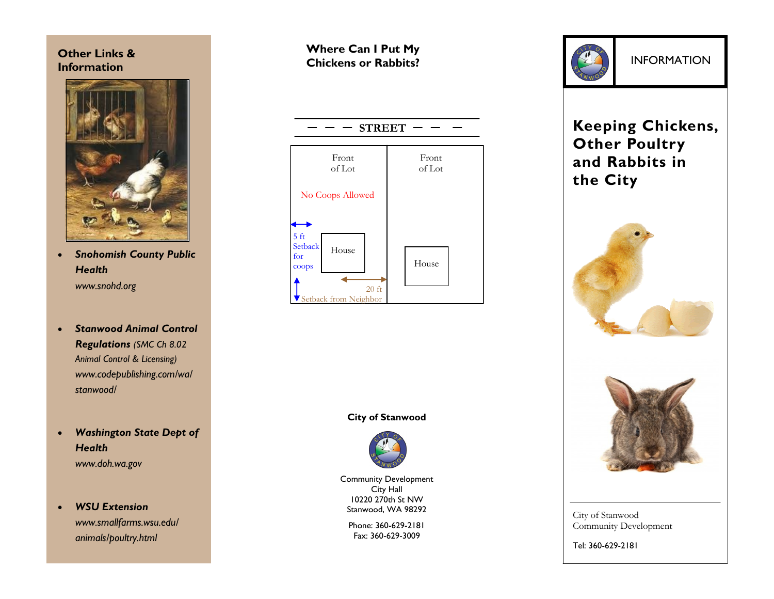## **Other Links & Information**



- *Snohomish County Public Health www.snohd.org*
- *Stanwood Animal Control Regulations (SMC Ch 8.02 Animal Control & Licensing) www.codepublishing.com/wa/ stanwood/*
- *Washington State Dept of Health www.doh.wa.gov*

 *WSU Extension www.smallfarms.wsu.edu/ animals/poultry.html* 

# **Where Can I Put My Chickens or Rabbits?**



**City of Stanwood**



Community Development City Hall 10220 270th St NW Stanwood, WA 98292

> Phone: 360-629-2181 Fax: 360-629-3009



# **Keeping Chickens, Other Poultry and Rabbits in the City**



City of Stanwood Community Development

Tel: 360-629-2181